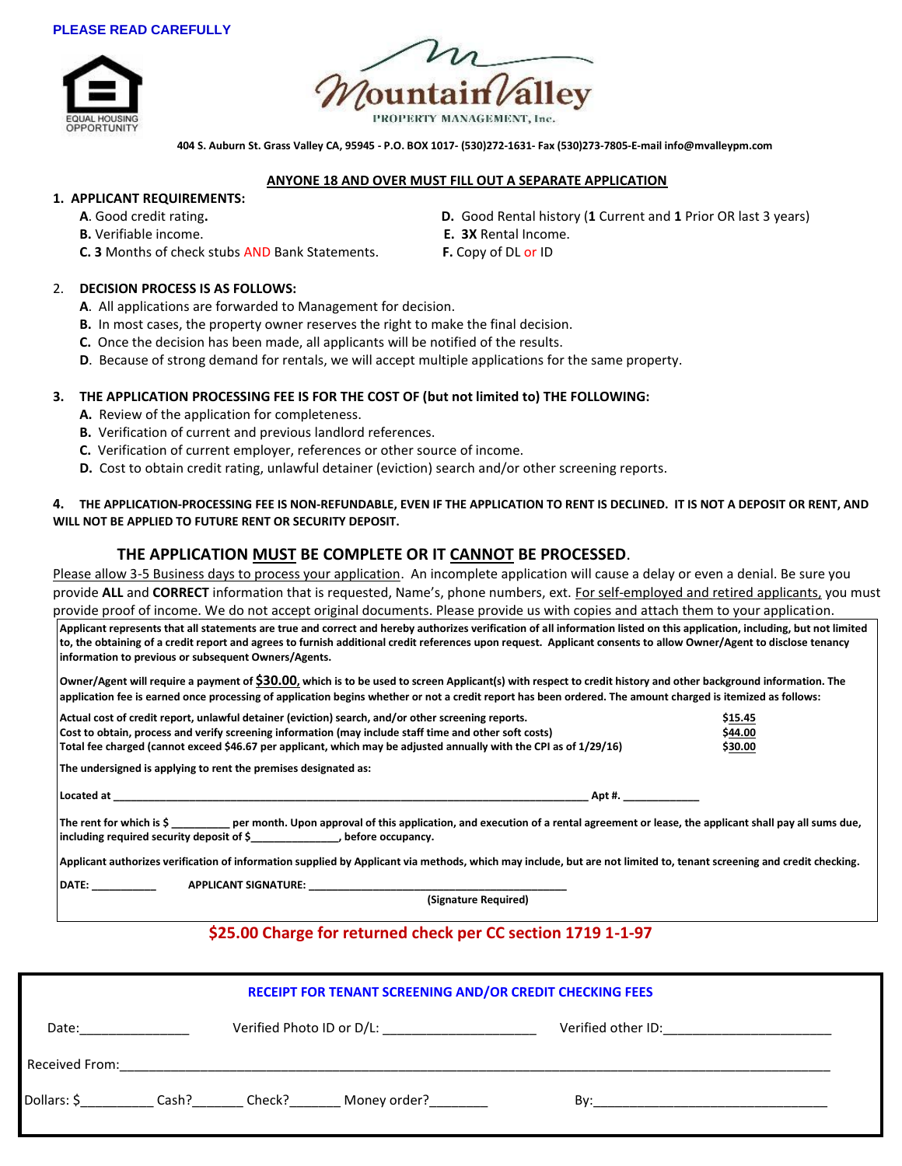#### **PLEASE READ CAREFULLY**





 **404 S. Auburn St. Grass Valley CA, 95945 - P.O. BOX 1017- (530)272-1631- Fax (530)273-7805-E-mail info@mvalleypm.com**

#### **ANYONE 18 AND OVER MUST FILL OUT A SEPARATE APPLICATION**

### **1. APPLICANT REQUIREMENTS:**

- 
- **B.** Verifiable income. **E. 3X** Rental Income.
- **C. 3** Months of check stubs AND Bank Statements. **F.** Copy of DL or ID

## 2. **DECISION PROCESS IS AS FOLLOWS:**

- **A**. All applications are forwarded to Management for decision.
- **B.** In most cases, the property owner reserves the right to make the final decision.
- **C.** Once the decision has been made, all applicants will be notified of the results.
- **D**. Because of strong demand for rentals, we will accept multiple applications for the same property.

### **3. THE APPLICATION PROCESSING FEE IS FOR THE COST OF (but not limited to) THE FOLLOWING:**

- **A.** Review of the application for completeness.
- **B.** Verification of current and previous landlord references.
- **C.** Verification of current employer, references or other source of income.
- **D.** Cost to obtain credit rating, unlawful detainer (eviction) search and/or other screening reports.

#### **4. THE APPLICATION-PROCESSING FEE IS NON-REFUNDABLE, EVEN IF THE APPLICATION TO RENT IS DECLINED. IT IS NOT A DEPOSIT OR RENT, AND WILL NOT BE APPLIED TO FUTURE RENT OR SECURITY DEPOSIT.**

## **THE APPLICATION MUST BE COMPLETE OR IT CANNOT BE PROCESSED**.

Please allow 3-5 Business days to process your application. An incomplete application will cause a delay or even a denial. Be sure you provide **ALL** and **CORRECT** information that is requested, Name's, phone numbers, ext. For self-employed and retired applicants, you must provide proof of income. We do not accept original documents. Please provide us with copies and attach them to your application.

**Applicant represents that all statements are true and correct and hereby authorizes verification of all information listed on this application, including, but not limited to, the obtaining of a credit report and agrees to furnish additional credit references upon request. Applicant consents to allow Owner/Agent to disclose tenancy information to previous or subsequent Owners/Agents.**

**Owner/Agent will require a payment of \$30.00, which is to be used to screen Applicant(s) with respect to credit history and other background information. The application fee is earned once processing of application begins whether or not a credit report has been ordered. The amount charged is itemized as follows:**

| Actual cost of credit report, unlawful detainer (eviction) search, and/or other screening reports.                                                                                                                                                            | \$15.45 |
|---------------------------------------------------------------------------------------------------------------------------------------------------------------------------------------------------------------------------------------------------------------|---------|
| Cost to obtain, process and verify screening information (may include staff time and other soft costs)                                                                                                                                                        | \$44.00 |
| Total fee charged (cannot exceed \$46.67 per applicant, which may be adjusted annually with the CPI as of 1/29/16)                                                                                                                                            | \$30.00 |
| The undersigned is applying to rent the premises designated as:                                                                                                                                                                                               |         |
| Located at<br>Apt #.                                                                                                                                                                                                                                          |         |
| The rent for which is $\zeta$ er month. Upon approval of this application, and execution of a rental agreement or lease, the applicant shall pay all sums due,                                                                                                |         |
| Applicant authorizes verification of information supplied by Applicant via methods, which may include, but are not limited to, tenant screening and credit checking.                                                                                          |         |
| DATE: the contract of the contract of the contract of the contract of the contract of the contract of the contract of the contract of the contract of the contract of the contract of the contract of the contract of the cont<br><b>APPLICANT SIGNATURE:</b> |         |
| (Signature Required)                                                                                                                                                                                                                                          |         |
|                                                                                                                                                                                                                                                               |         |

# **\$25.00 Charge for returned check per CC section 1719 1-1-97**

| RECEIPT FOR TENANT SCREENING AND/OR CREDIT CHECKING FEES |       |        |              |                    |  |  |  |  |  |
|----------------------------------------------------------|-------|--------|--------------|--------------------|--|--|--|--|--|
| Date:                                                    |       |        |              | Verified other ID: |  |  |  |  |  |
| Received From:                                           |       |        |              |                    |  |  |  |  |  |
| Dollars: \$                                              | Cash? | Check? | Money order? | Bv:                |  |  |  |  |  |

- **A**. Good credit rating**. D.** Good Rental history (**1** Current and **1** Prior OR last 3 years)
	-
	-